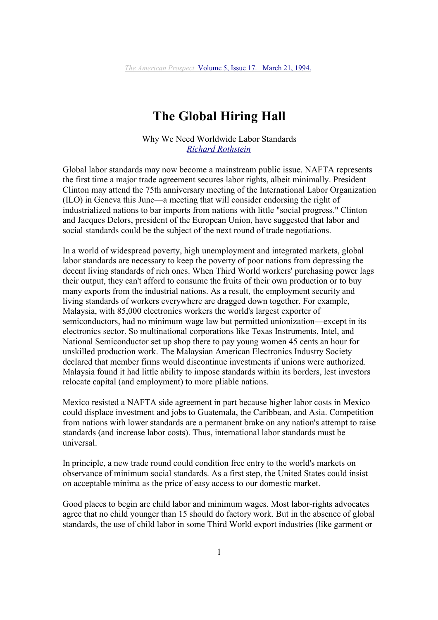# **The Global Hiring Hall**

Why We Need Worldwide Labor Standards *Richard Rothstein*

Global labor standards may now become a mainstream public issue. NAFTA represents the first time a major trade agreement secures labor rights, albeit minimally. President Clinton may attend the 75th anniversary meeting of the International Labor Organization (ILO) in Geneva this June—a meeting that will consider endorsing the right of industrialized nations to bar imports from nations with little "social progress." Clinton and Jacques Delors, president of the European Union, have suggested that labor and social standards could be the subject of the next round of trade negotiations.

In a world of widespread poverty, high unemployment and integrated markets, global labor standards are necessary to keep the poverty of poor nations from depressing the decent living standards of rich ones. When Third World workers' purchasing power lags their output, they can't afford to consume the fruits of their own production or to buy many exports from the industrial nations. As a result, the employment security and living standards of workers everywhere are dragged down together. For example, Malaysia, with 85,000 electronics workers the world's largest exporter of semiconductors, had no minimum wage law but permitted unionization—except in its electronics sector. So multinational corporations like Texas Instruments, Intel, and National Semiconductor set up shop there to pay young women 45 cents an hour for unskilled production work. The Malaysian American Electronics Industry Society declared that member firms would discontinue investments if unions were authorized. Malaysia found it had little ability to impose standards within its borders, lest investors relocate capital (and employment) to more pliable nations.

Mexico resisted a NAFTA side agreement in part because higher labor costs in Mexico could displace investment and jobs to Guatemala, the Caribbean, and Asia. Competition from nations with lower standards are a permanent brake on any nation's attempt to raise standards (and increase labor costs). Thus, international labor standards must be universal.

In principle, a new trade round could condition free entry to the world's markets on observance of minimum social standards. As a first step, the United States could insist on acceptable minima as the price of easy access to our domestic market.

Good places to begin are child labor and minimum wages. Most labor-rights advocates agree that no child younger than 15 should do factory work. But in the absence of global standards, the use of child labor in some Third World export industries (like garment or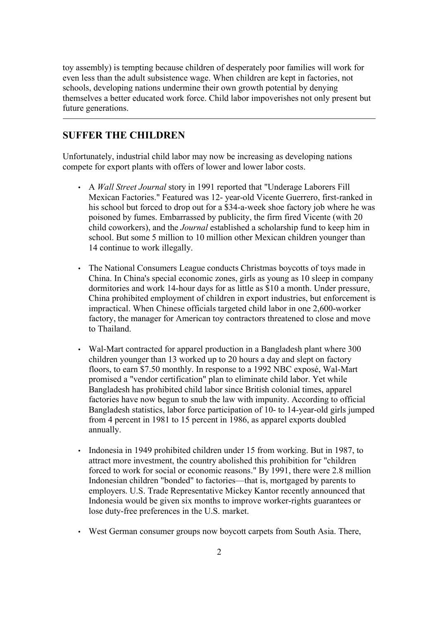toy assembly) is tempting because children of desperately poor families will work for even less than the adult subsistence wage. When children are kept in factories, not schools, developing nations undermine their own growth potential by denying themselves a better educated work force. Child labor impoverishes not only present but future generations.

## **SUFFER THE CHILDREN**

Unfortunately, industrial child labor may now be increasing as developing nations compete for export plants with offers of lower and lower labor costs.

- A *Wall Street Journal* story in 1991 reported that "Underage Laborers Fill Mexican Factories." Featured was 12- year-old Vicente Guerrero, first-ranked in his school but forced to drop out for a \$34-a-week shoe factory job where he was poisoned by fumes. Embarrassed by publicity, the firm fired Vicente (with 20 child coworkers), and the *Journal* established a scholarship fund to keep him in school. But some 5 million to 10 million other Mexican children younger than 14 continue to work illegally.
- The National Consumers League conducts Christmas boycotts of toys made in China. In China's special economic zones, girls as young as 10 sleep in company dormitories and work 14-hour days for as little as \$10 a month. Under pressure, China prohibited employment of children in export industries, but enforcement is impractical. When Chinese officials targeted child labor in one 2,600-worker factory, the manager for American toy contractors threatened to close and move to Thailand.
- Wal-Mart contracted for apparel production in a Bangladesh plant where 300 children younger than 13 worked up to 20 hours a day and slept on factory floors, to earn \$7.50 monthly. In response to a 1992 NBC exposé, Wal-Mart promised a "vendor certification" plan to eliminate child labor. Yet while Bangladesh has prohibited child labor since British colonial times, apparel factories have now begun to snub the law with impunity. According to official Bangladesh statistics, labor force participation of 10- to 14-year-old girls jumped from 4 percent in 1981 to 15 percent in 1986, as apparel exports doubled annually.
- Indonesia in 1949 prohibited children under 15 from working. But in 1987, to attract more investment, the country abolished this prohibition for "children forced to work for social or economic reasons." By 1991, there were 2.8 million Indonesian children "bonded" to factories—that is, mortgaged by parents to employers. U.S. Trade Representative Mickey Kantor recently announced that Indonesia would be given six months to improve worker-rights guarantees or lose duty-free preferences in the U.S. market.
- West German consumer groups now boycott carpets from South Asia. There,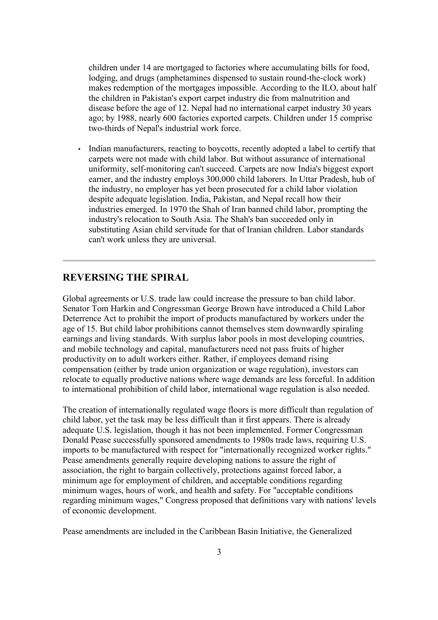children under 14 are mortgaged to factories where accumulating bills for food, lodging, and drugs (amphetamines dispensed to sustain round-the-clock work) makes redemption of the mortgages impossible. According to the ILO, about half the children in Pakistan's export carpet industry die from malnutrition and disease before the age of 12. Nepal had no international carpet industry 30 years ago; by 1988, nearly 600 factories exported carpets. Children under 15 comprise two-thirds of Nepal's industrial work force.

• Indian manufacturers, reacting to boycotts, recently adopted a label to certify that carpets were not made with child labor. But without assurance of international uniformity, self-monitoring can't succeed. Carpets are now India's biggest export earner, and the industry employs 300,000 child laborers. In Uttar Pradesh, hub of the industry, no employer has yet been prosecuted for a child labor violation despite adequate legislation. India, Pakistan, and Nepal recall how their industries emerged. In 1970 the Shah of Iran banned child labor, prompting the industry's relocation to South Asia. The Shah's ban succeeded only in substituting Asian child servitude for that of Iranian children. Labor standards can't work unless they are universal.

### **REVERSING THE SPIRAL**

Global agreements or U.S. trade law could increase the pressure to ban child labor. Senator Tom Harkin and Congressman George Brown have introduced a Child Labor Deterrence Act to prohibit the import of products manufactured by workers under the age of 15. But child labor prohibitions cannot themselves stem downwardly spiraling earnings and living standards. With surplus labor pools in most developing countries, and mobile technology and capital, manufacturers need not pass fruits of higher productivity on to adult workers either. Rather, if employees demand rising compensation (either by trade union organization or wage regulation), investors can relocate to equally productive nations where wage demands are less forceful. In addition to international prohibition of child labor, international wage regulation is also needed.

The creation of internationally regulated wage floors is more difficult than regulation of child labor, yet the task may be less difficult than it first appears. There is already adequate U.S. legislation, though it has not been implemented. Former Congressman Donald Pease successfully sponsored amendments to 1980s trade laws, requiring U.S. imports to be manufactured with respect for "internationally recognized worker rights." Pease amendments generally require developing nations to assure the right of association, the right to bargain collectively, protections against forced labor, a minimum age for employment of children, and acceptable conditions regarding minimum wages, hours of work, and health and safety. For "acceptable conditions regarding minimum wages," Congress proposed that definitions vary with nations' levels of economic development.

Pease amendments are included in the Caribbean Basin Initiative, the Generalized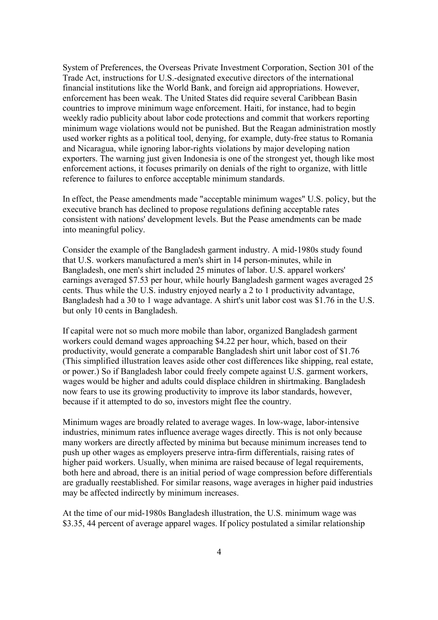System of Preferences, the Overseas Private Investment Corporation, Section 301 of the Trade Act, instructions for U.S.-designated executive directors of the international financial institutions like the World Bank, and foreign aid appropriations. However, enforcement has been weak. The United States did require several Caribbean Basin countries to improve minimum wage enforcement. Haiti, for instance, had to begin weekly radio publicity about labor code protections and commit that workers reporting minimum wage violations would not be punished. But the Reagan administration mostly used worker rights as a political tool, denying, for example, duty-free status to Romania and Nicaragua, while ignoring labor-rights violations by major developing nation exporters. The warning just given Indonesia is one of the strongest yet, though like most enforcement actions, it focuses primarily on denials of the right to organize, with little reference to failures to enforce acceptable minimum standards.

In effect, the Pease amendments made "acceptable minimum wages" U.S. policy, but the executive branch has declined to propose regulations defining acceptable rates consistent with nations' development levels. But the Pease amendments can be made into meaningful policy.

Consider the example of the Bangladesh garment industry. A mid-1980s study found that U.S. workers manufactured a men's shirt in 14 person-minutes, while in Bangladesh, one men's shirt included 25 minutes of labor. U.S. apparel workers' earnings averaged \$7.53 per hour, while hourly Bangladesh garment wages averaged 25 cents. Thus while the U.S. industry enjoyed nearly a 2 to 1 productivity advantage, Bangladesh had a 30 to 1 wage advantage. A shirt's unit labor cost was \$1.76 in the U.S. but only 10 cents in Bangladesh.

If capital were not so much more mobile than labor, organized Bangladesh garment workers could demand wages approaching \$4.22 per hour, which, based on their productivity, would generate a comparable Bangladesh shirt unit labor cost of \$1.76 (This simplified illustration leaves aside other cost differences like shipping, real estate, or power.) So if Bangladesh labor could freely compete against U.S. garment workers, wages would be higher and adults could displace children in shirtmaking. Bangladesh now fears to use its growing productivity to improve its labor standards, however, because if it attempted to do so, investors might flee the country.

Minimum wages are broadly related to average wages. In low-wage, labor-intensive industries, minimum rates influence average wages directly. This is not only because many workers are directly affected by minima but because minimum increases tend to push up other wages as employers preserve intra-firm differentials, raising rates of higher paid workers. Usually, when minima are raised because of legal requirements, both here and abroad, there is an initial period of wage compression before differentials are gradually reestablished. For similar reasons, wage averages in higher paid industries may be affected indirectly by minimum increases.

At the time of our mid-1980s Bangladesh illustration, the U.S. minimum wage was \$3.35, 44 percent of average apparel wages. If policy postulated a similar relationship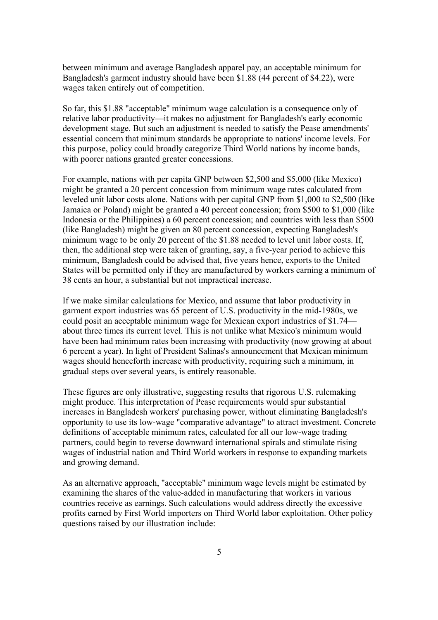between minimum and average Bangladesh apparel pay, an acceptable minimum for Bangladesh's garment industry should have been \$1.88 (44 percent of \$4.22), were wages taken entirely out of competition.

So far, this \$1.88 "acceptable" minimum wage calculation is a consequence only of relative labor productivity—it makes no adjustment for Bangladesh's early economic development stage. But such an adjustment is needed to satisfy the Pease amendments' essential concern that minimum standards be appropriate to nations' income levels. For this purpose, policy could broadly categorize Third World nations by income bands, with poorer nations granted greater concessions.

For example, nations with per capita GNP between \$2,500 and \$5,000 (like Mexico) might be granted a 20 percent concession from minimum wage rates calculated from leveled unit labor costs alone. Nations with per capital GNP from \$1,000 to \$2,500 (like Jamaica or Poland) might be granted a 40 percent concession; from \$500 to \$1,000 (like Indonesia or the Philippines) a 60 percent concession; and countries with less than \$500 (like Bangladesh) might be given an 80 percent concession, expecting Bangladesh's minimum wage to be only 20 percent of the \$1.88 needed to level unit labor costs. If, then, the additional step were taken of granting, say, a five-year period to achieve this minimum, Bangladesh could be advised that, five years hence, exports to the United States will be permitted only if they are manufactured by workers earning a minimum of 38 cents an hour, a substantial but not impractical increase.

If we make similar calculations for Mexico, and assume that labor productivity in garment export industries was 65 percent of U.S. productivity in the mid-1980s, we could posit an acceptable minimum wage for Mexican export industries of \$1.74 about three times its current level. This is not unlike what Mexico's minimum would have been had minimum rates been increasing with productivity (now growing at about 6 percent a year). In light of President Salinas's announcement that Mexican minimum wages should henceforth increase with productivity, requiring such a minimum, in gradual steps over several years, is entirely reasonable.

These figures are only illustrative, suggesting results that rigorous U.S. rulemaking might produce. This interpretation of Pease requirements would spur substantial increases in Bangladesh workers' purchasing power, without eliminating Bangladesh's opportunity to use its low-wage "comparative advantage" to attract investment. Concrete definitions of acceptable minimum rates, calculated for all our low-wage trading partners, could begin to reverse downward international spirals and stimulate rising wages of industrial nation and Third World workers in response to expanding markets and growing demand.

As an alternative approach, "acceptable" minimum wage levels might be estimated by examining the shares of the value-added in manufacturing that workers in various countries receive as earnings. Such calculations would address directly the excessive profits earned by First World importers on Third World labor exploitation. Other policy questions raised by our illustration include: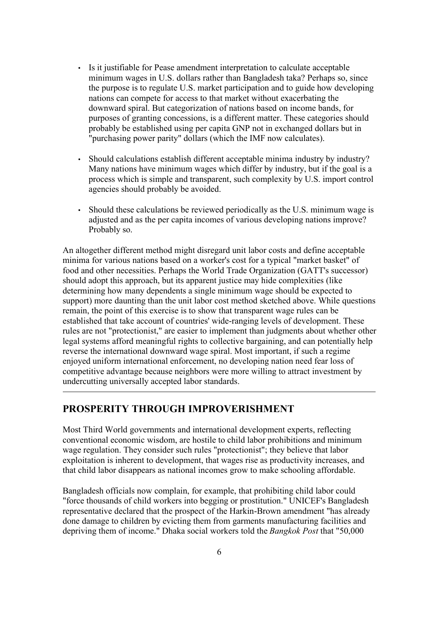- Is it justifiable for Pease amendment interpretation to calculate acceptable minimum wages in U.S. dollars rather than Bangladesh taka? Perhaps so, since the purpose is to regulate U.S. market participation and to guide how developing nations can compete for access to that market without exacerbating the downward spiral. But categorization of nations based on income bands, for purposes of granting concessions, is a different matter. These categories should probably be established using per capita GNP not in exchanged dollars but in "purchasing power parity" dollars (which the IMF now calculates).
- Should calculations establish different acceptable minima industry by industry? Many nations have minimum wages which differ by industry, but if the goal is a process which is simple and transparent, such complexity by U.S. import control agencies should probably be avoided.
- Should these calculations be reviewed periodically as the U.S. minimum wage is adjusted and as the per capita incomes of various developing nations improve? Probably so.

An altogether different method might disregard unit labor costs and define acceptable minima for various nations based on a worker's cost for a typical "market basket" of food and other necessities. Perhaps the World Trade Organization (GATT's successor) should adopt this approach, but its apparent justice may hide complexities (like determining how many dependents a single minimum wage should be expected to support) more daunting than the unit labor cost method sketched above. While questions remain, the point of this exercise is to show that transparent wage rules can be established that take account of countries' wide-ranging levels of development. These rules are not "protectionist," are easier to implement than judgments about whether other legal systems afford meaningful rights to collective bargaining, and can potentially help reverse the international downward wage spiral. Most important, if such a regime enjoyed uniform international enforcement, no developing nation need fear loss of competitive advantage because neighbors were more willing to attract investment by undercutting universally accepted labor standards.

#### **PROSPERITY THROUGH IMPROVERISHMENT**

Most Third World governments and international development experts, reflecting conventional economic wisdom, are hostile to child labor prohibitions and minimum wage regulation. They consider such rules "protectionist"; they believe that labor exploitation is inherent to development, that wages rise as productivity increases, and that child labor disappears as national incomes grow to make schooling affordable.

Bangladesh officials now complain, for example, that prohibiting child labor could "force thousands of child workers into begging or prostitution." UNICEF's Bangladesh representative declared that the prospect of the Harkin-Brown amendment "has already done damage to children by evicting them from garments manufacturing facilities and depriving them of income." Dhaka social workers told the *Bangkok Post* that "50,000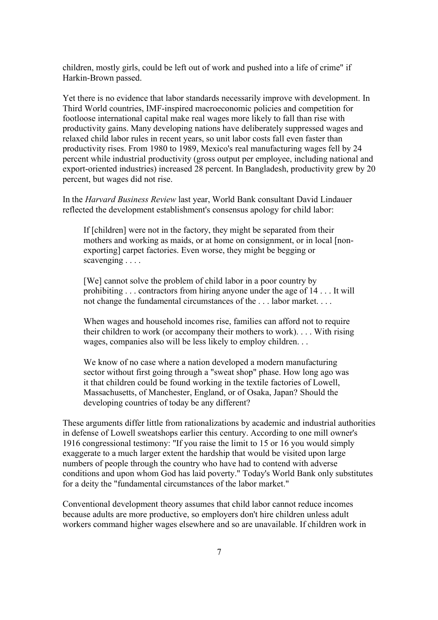children, mostly girls, could be left out of work and pushed into a life of crime" if Harkin-Brown passed.

Yet there is no evidence that labor standards necessarily improve with development. In Third World countries, IMF-inspired macroeconomic policies and competition for footloose international capital make real wages more likely to fall than rise with productivity gains. Many developing nations have deliberately suppressed wages and relaxed child labor rules in recent years, so unit labor costs fall even faster than productivity rises. From 1980 to 1989, Mexico's real manufacturing wages fell by 24 percent while industrial productivity (gross output per employee, including national and export-oriented industries) increased 28 percent. In Bangladesh, productivity grew by 20 percent, but wages did not rise.

In the *Harvard Business Review* last year, World Bank consultant David Lindauer reflected the development establishment's consensus apology for child labor:

If [children] were not in the factory, they might be separated from their mothers and working as maids, or at home on consignment, or in local [nonexporting] carpet factories. Even worse, they might be begging or scavenging . . . .

[We] cannot solve the problem of child labor in a poor country by prohibiting . . . contractors from hiring anyone under the age of 14 . . . It will not change the fundamental circumstances of the . . . labor market. . . .

When wages and household incomes rise, families can afford not to require their children to work (or accompany their mothers to work). . . . With rising wages, companies also will be less likely to employ children. . .

We know of no case where a nation developed a modern manufacturing sector without first going through a "sweat shop" phase. How long ago was it that children could be found working in the textile factories of Lowell, Massachusetts, of Manchester, England, or of Osaka, Japan? Should the developing countries of today be any different?

These arguments differ little from rationalizations by academic and industrial authorities in defense of Lowell sweatshops earlier this century. According to one mill owner's 1916 congressional testimony: "If you raise the limit to 15 or 16 you would simply exaggerate to a much larger extent the hardship that would be visited upon large numbers of people through the country who have had to contend with adverse conditions and upon whom God has laid poverty." Today's World Bank only substitutes for a deity the "fundamental circumstances of the labor market."

Conventional development theory assumes that child labor cannot reduce incomes because adults are more productive, so employers don't hire children unless adult workers command higher wages elsewhere and so are unavailable. If children work in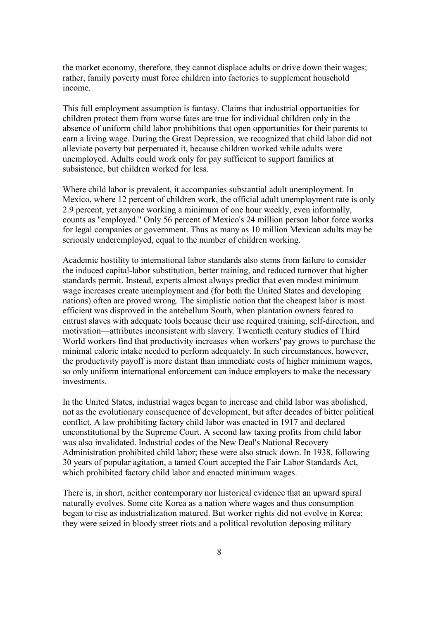the market economy, therefore, they cannot displace adults or drive down their wages; rather, family poverty must force children into factories to supplement household income.

This full employment assumption is fantasy. Claims that industrial opportunities for children protect them from worse fates are true for individual children only in the absence of uniform child labor prohibitions that open opportunities for their parents to earn a living wage. During the Great Depression, we recognized that child labor did not alleviate poverty but perpetuated it, because children worked while adults were unemployed. Adults could work only for pay sufficient to support families at subsistence, but children worked for less.

Where child labor is prevalent, it accompanies substantial adult unemployment. In Mexico, where 12 percent of children work, the official adult unemployment rate is only 2.9 percent, yet anyone working a minimum of one hour weekly, even informally, counts as "employed." Only 56 percent of Mexico's 24 million person labor force works for legal companies or government. Thus as many as 10 million Mexican adults may be seriously underemployed, equal to the number of children working.

Academic hostility to international labor standards also stems from failure to consider the induced capital-labor substitution, better training, and reduced turnover that higher standards permit. Instead, experts almost always predict that even modest minimum wage increases create unemployment and (for both the United States and developing nations) often are proved wrong. The simplistic notion that the cheapest labor is most efficient was disproved in the antebellum South, when plantation owners feared to entrust slaves with adequate tools because their use required training, self-direction, and motivation—attributes inconsistent with slavery. Twentieth century studies of Third World workers find that productivity increases when workers' pay grows to purchase the minimal caloric intake needed to perform adequately. In such circumstances, however, the productivity payoff is more distant than immediate costs of higher minimum wages, so only uniform international enforcement can induce employers to make the necessary investments.

In the United States, industrial wages began to increase and child labor was abolished, not as the evolutionary consequence of development, but after decades of bitter political conflict. A law prohibiting factory child labor was enacted in 1917 and declared unconstitutional by the Supreme Court. A second law taxing profits from child labor was also invalidated. Industrial codes of the New Deal's National Recovery Administration prohibited child labor; these were also struck down. In 1938, following 30 years of popular agitation, a tamed Court accepted the Fair Labor Standards Act, which prohibited factory child labor and enacted minimum wages.

There is, in short, neither contemporary nor historical evidence that an upward spiral naturally evolves. Some cite Korea as a nation where wages and thus consumption began to rise as industrialization matured. But worker rights did not evolve in Korea; they were seized in bloody street riots and a political revolution deposing military